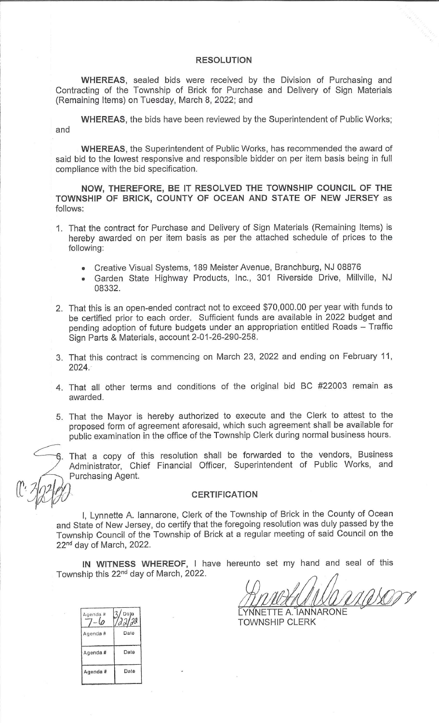## **RESOLUTION**

WHEREAS, sealed bids were received by the Division of Purchasing and Contracting of the Township of Brick for Purchase and Delivery of Sign Materials (Remaining Items) on Tuesday, March 8, 2022; and

**WHEREAS**, the bids have been reviewed by the Superintendent of Public Works; and

**WHEREAS**, the Superintendent of Public Works, has recommended the award of said bid to the lowest responsive and responsible bidder on per item basis being in full compliance with the bid specification.

NOW, THEREFORE, BE IT RESOLVED THE TOWNSHIP COUNCIL OF THE TOWNSHIP OF BRICK, COUNTY OF OCEAN AND STATE OF NEW JERSEY as follows:

- 1. That the contract for Purchase and Delivery of Sign Materials (Remaining Items) is hereby awarded on per item basis as per the attached schedule of prices to the following:
	- Creative Visual Systems, 189 Meister Avenue, Branchburg, NJ 08876  $\bullet$
	- Garden State Highway Products, Inc., 301 Riverside Drive, Millville, NJ 08332.
- 2. That this is an open-ended contract not to exceed \$70,000.00 per year with funds to be certified prior to each order. Sufficient funds are available in 2022 budget and pending adoption of future budgets under an appropriation entitled Roads - Traffic Sign Parts & Materials, account 2-01-26-290-258.
- 3. That this contract is commencing on March 23, 2022 and ending on February 11, 2024.
- 4. That all other terms and conditions of the original bid BC #22003 remain as awarded.
- 5. That the Mayor is hereby authorized to execute and the Clerk to attest to the proposed form of agreement aforesaid, which such agreement shall be available for public examination in the office of the Township Clerk during normal business hours.

6. That a copy of this resolution shall be forwarded to the vendors, Business Administrator, Chief Financial Officer, Superintendent of Public Works, and Purchasing Agent.

**CERTIFICATION** 

I, Lynnette A. lannarone, Clerk of the Township of Brick in the County of Ocean and State of New Jersey, do certify that the foregoing resolution was duly passed by the Township Council of the Township of Brick at a regular meeting of said Council on the 22<sup>nd</sup> day of March, 2022.

IN WITNESS WHEREOF, I have hereunto set my hand and seal of this Township this 22<sup>nd</sup> day of March, 2022.

YNNETTE A. IANNARONE **TOWNSHIP CLERK** 

| Date<br>aalaa |
|---------------|
| Date          |
| Date          |
| Date          |
|               |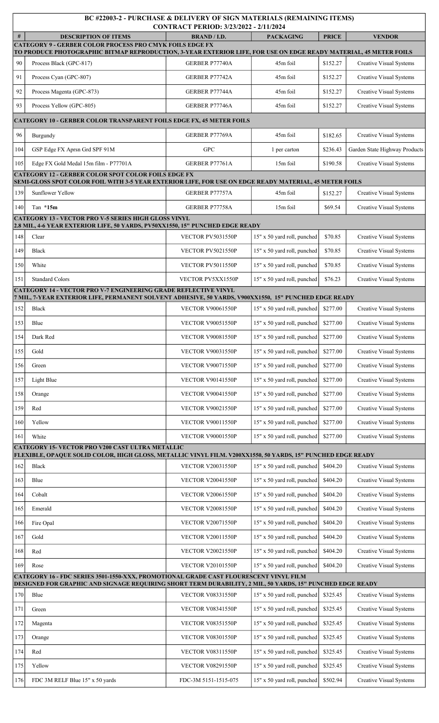| BC #22003-2 - PURCHASE & DELIVERY OF SIGN MATERIALS (REMAINING ITEMS)<br>CONTRACT PERIOD: 3/23/2022 - 2/11/2024                                                                      |                                                                                                                                                                                                    |                          |                             |              |                                |  |  |  |  |  |
|--------------------------------------------------------------------------------------------------------------------------------------------------------------------------------------|----------------------------------------------------------------------------------------------------------------------------------------------------------------------------------------------------|--------------------------|-----------------------------|--------------|--------------------------------|--|--|--|--|--|
| #                                                                                                                                                                                    | <b>DESCRIPTION OF ITEMS</b>                                                                                                                                                                        | <b>BRAND / I.D.</b>      | <b>PACKAGING</b>            | <b>PRICE</b> | <b>VENDOR</b>                  |  |  |  |  |  |
| <b>CATEGORY 9 - GERBER COLOR PROCESS PRO CMYK FOILS EDGE FX</b><br>TO PRODUCE PHOTOGRAPHIC BITMAP REPRODUCTION, 3-YEAR EXTERIOR LIFE, FOR USE ON EDGE READY MATERIAL, 45 METER FOILS |                                                                                                                                                                                                    |                          |                             |              |                                |  |  |  |  |  |
| 90                                                                                                                                                                                   | Process Black (GPC-817)                                                                                                                                                                            | GERBER P77740A           | 45m foil                    | \$152.27     | <b>Creative Visual Systems</b> |  |  |  |  |  |
| 91                                                                                                                                                                                   | Process Cyan (GPC-807)                                                                                                                                                                             | GERBER P77742A           | 45m foil                    | \$152.27     | <b>Creative Visual Systems</b> |  |  |  |  |  |
| 92                                                                                                                                                                                   | Process Magenta (GPC-873)                                                                                                                                                                          | GERBER P77744A           | 45m foil                    | \$152.27     | <b>Creative Visual Systems</b> |  |  |  |  |  |
| 93                                                                                                                                                                                   | Process Yellow (GPC-805)                                                                                                                                                                           | GERBER P77746A           | 45m foil                    | \$152.27     | <b>Creative Visual Systems</b> |  |  |  |  |  |
|                                                                                                                                                                                      | <b>CATEGORY 10 - GERBER COLOR TRANSPARENT FOILS EDGE FX, 45 METER FOILS</b>                                                                                                                        |                          |                             |              |                                |  |  |  |  |  |
| 96                                                                                                                                                                                   | Burgundy                                                                                                                                                                                           | GERBER P77769A           | 45m foil                    | \$182.65     | <b>Creative Visual Systems</b> |  |  |  |  |  |
| 104                                                                                                                                                                                  | GSP Edge FX Aprsn Grd SPF 91M                                                                                                                                                                      | <b>GPC</b>               | 1 per carton                | \$236.43     | Garden State Highway Products  |  |  |  |  |  |
| 105                                                                                                                                                                                  | Edge FX Gold Medal 15m film - P77701A                                                                                                                                                              | GERBER P77761A           | 15m foil                    | \$190.58     | <b>Creative Visual Systems</b> |  |  |  |  |  |
|                                                                                                                                                                                      | <b>CATEGORY 12 - GERBER COLOR SPOT COLOR FOILS EDGE FX</b><br>SEMI-GLOSS SPOT COLOR FOIL WITH 3-5 YEAR EXTERIOR LIFE, FOR USE ON EDGE READY MATERIAL, 45 METER FOILS                               |                          |                             |              |                                |  |  |  |  |  |
| 139                                                                                                                                                                                  | Sunflower Yellow                                                                                                                                                                                   | GERBER P77757A           | 45m foil                    | \$152.27     | <b>Creative Visual Systems</b> |  |  |  |  |  |
| 140                                                                                                                                                                                  | Tan $*15m$                                                                                                                                                                                         | GERBER P77758A           | 15m foil                    | \$69.54      | <b>Creative Visual Systems</b> |  |  |  |  |  |
|                                                                                                                                                                                      | <b>CATEGORY 13 - VECTOR PRO V-5 SERIES HIGH GLOSS VINYL</b><br>2.8 MIL, 4-6 YEAR EXTERIOR LIFE, 50 YARDS, PV50XX1550, 15" PUNCHED EDGE READY                                                       |                          |                             |              |                                |  |  |  |  |  |
| 148                                                                                                                                                                                  | Clear                                                                                                                                                                                              | VECTOR PV5031550P        | 15" x 50 yard roll, punched | \$70.85      | <b>Creative Visual Systems</b> |  |  |  |  |  |
| 149                                                                                                                                                                                  | <b>Black</b>                                                                                                                                                                                       | VECTOR PV5021550P        | 15" x 50 yard roll, punched | \$70.85      | <b>Creative Visual Systems</b> |  |  |  |  |  |
| 150                                                                                                                                                                                  | White                                                                                                                                                                                              | VECTOR PV5011550P        | 15" x 50 yard roll, punched | \$70.85      | <b>Creative Visual Systems</b> |  |  |  |  |  |
| 151                                                                                                                                                                                  | <b>Standard Colors</b>                                                                                                                                                                             | VECTOR PV5XX1550P        | 15" x 50 yard roll, punched | \$76.23      | <b>Creative Visual Systems</b> |  |  |  |  |  |
|                                                                                                                                                                                      | CATEGORY 14 - VECTOR PRO V-7 ENGINEERING GRADE REFLECTIVE VINYL                                                                                                                                    |                          |                             |              |                                |  |  |  |  |  |
| 152                                                                                                                                                                                  | 7 MIL, 7-YEAR EXTERIOR LIFE, PERMANENT SOLVENT ADHESIVE, 50 YARDS, V900XX1550,  15" PUNCHED EDGE READY<br><b>Black</b>                                                                             | <b>VECTOR V90061550P</b> | 15" x 50 yard roll, punched | \$277.00     | <b>Creative Visual Systems</b> |  |  |  |  |  |
| 153                                                                                                                                                                                  | Blue                                                                                                                                                                                               | <b>VECTOR V90051550P</b> | 15" x 50 yard roll, punched | \$277.00     | <b>Creative Visual Systems</b> |  |  |  |  |  |
| 154                                                                                                                                                                                  | Dark Red                                                                                                                                                                                           | VECTOR V90081550P        | 15" x 50 yard roll, punched | \$277.00     | Creative Visual Systems        |  |  |  |  |  |
| 155                                                                                                                                                                                  | Gold                                                                                                                                                                                               | <b>VECTOR V90031550P</b> | 15" x 50 yard roll, punched | \$277.00     | <b>Creative Visual Systems</b> |  |  |  |  |  |
| 156                                                                                                                                                                                  | Green                                                                                                                                                                                              | <b>VECTOR V90071550P</b> | 15" x 50 yard roll, punched | \$277.00     | Creative Visual Systems        |  |  |  |  |  |
| 157                                                                                                                                                                                  | Light Blue                                                                                                                                                                                         | <b>VECTOR V90141550P</b> | 15" x 50 yard roll, punched | \$277.00     | <b>Creative Visual Systems</b> |  |  |  |  |  |
| 158                                                                                                                                                                                  | Orange                                                                                                                                                                                             | <b>VECTOR V90041550P</b> | 15" x 50 yard roll, punched | \$277.00     | <b>Creative Visual Systems</b> |  |  |  |  |  |
| 159                                                                                                                                                                                  | Red                                                                                                                                                                                                | <b>VECTOR V90021550P</b> | 15" x 50 yard roll, punched | \$277.00     | <b>Creative Visual Systems</b> |  |  |  |  |  |
| 160                                                                                                                                                                                  | Yellow                                                                                                                                                                                             | <b>VECTOR V90011550P</b> | 15" x 50 yard roll, punched | \$277.00     | <b>Creative Visual Systems</b> |  |  |  |  |  |
| 161                                                                                                                                                                                  | White                                                                                                                                                                                              | <b>VECTOR V90001550P</b> | 15" x 50 yard roll, punched | \$277.00     | <b>Creative Visual Systems</b> |  |  |  |  |  |
|                                                                                                                                                                                      | <b>CATEGORY 15- VECTOR PRO V200 CAST ULTRA METALLIC</b><br>FLEXIBLE, OPAQUE SOLID COLOR, HIGH GLOSS, METALLIC VINYL FILM. V200XX1550, 50 YARDS, 15" PUNCHED EDGE READY                             |                          |                             |              |                                |  |  |  |  |  |
| 162                                                                                                                                                                                  | <b>Black</b>                                                                                                                                                                                       | <b>VECTOR V20031550P</b> | 15" x 50 yard roll, punched | \$404.20     | <b>Creative Visual Systems</b> |  |  |  |  |  |
| 163                                                                                                                                                                                  | Blue                                                                                                                                                                                               | <b>VECTOR V20041550P</b> | 15" x 50 yard roll, punched | \$404.20     | <b>Creative Visual Systems</b> |  |  |  |  |  |
| 164                                                                                                                                                                                  | Cobalt                                                                                                                                                                                             | <b>VECTOR V20061550P</b> | 15" x 50 yard roll, punched | \$404.20     | <b>Creative Visual Systems</b> |  |  |  |  |  |
| 165                                                                                                                                                                                  | Emerald                                                                                                                                                                                            | <b>VECTOR V20081550P</b> | 15" x 50 yard roll, punched | \$404.20     | <b>Creative Visual Systems</b> |  |  |  |  |  |
| 166                                                                                                                                                                                  | Fire Opal                                                                                                                                                                                          | <b>VECTOR V20071550P</b> | 15" x 50 yard roll, punched | \$404.20     | <b>Creative Visual Systems</b> |  |  |  |  |  |
| 167                                                                                                                                                                                  | Gold                                                                                                                                                                                               | <b>VECTOR V20011550P</b> | 15" x 50 yard roll, punched | \$404.20     | <b>Creative Visual Systems</b> |  |  |  |  |  |
| 168                                                                                                                                                                                  | Red                                                                                                                                                                                                | <b>VECTOR V20021550P</b> | 15" x 50 yard roll, punched | \$404.20     | <b>Creative Visual Systems</b> |  |  |  |  |  |
| 169                                                                                                                                                                                  | Rose                                                                                                                                                                                               | <b>VECTOR V20101550P</b> | 15" x 50 yard roll, punched | \$404.20     | <b>Creative Visual Systems</b> |  |  |  |  |  |
|                                                                                                                                                                                      | CATEGORY 16 - FDC SERIES 3501-1550-XXX, PROMOTIONAL GRADE CAST FLOURESCENT VINYL FILM<br>DESIGNED FOR GRAPHIC AND SIGNAGE REQUIRING SHORT TERM DURABILITY, 2 MIL, 50 YARDS, 15" PUNCHED EDGE READY |                          |                             |              |                                |  |  |  |  |  |
| 170                                                                                                                                                                                  | Blue                                                                                                                                                                                               | <b>VECTOR V08331550P</b> | 15" x 50 yard roll, punched | \$325.45     | <b>Creative Visual Systems</b> |  |  |  |  |  |
| 171                                                                                                                                                                                  | Green                                                                                                                                                                                              | <b>VECTOR V08341550P</b> | 15" x 50 yard roll, punched | \$325.45     | <b>Creative Visual Systems</b> |  |  |  |  |  |
| 172                                                                                                                                                                                  | Magenta                                                                                                                                                                                            | <b>VECTOR V08351550P</b> | 15" x 50 yard roll, punched | \$325.45     | <b>Creative Visual Systems</b> |  |  |  |  |  |
| 173                                                                                                                                                                                  | Orange                                                                                                                                                                                             | <b>VECTOR V08301550P</b> | 15" x 50 yard roll, punched | \$325.45     | <b>Creative Visual Systems</b> |  |  |  |  |  |
| 174                                                                                                                                                                                  | Red                                                                                                                                                                                                | <b>VECTOR V08311550P</b> | 15" x 50 yard roll, punched | \$325.45     | Creative Visual Systems        |  |  |  |  |  |
| 175                                                                                                                                                                                  | Yellow                                                                                                                                                                                             | <b>VECTOR V08291550P</b> | 15" x 50 yard roll, punched | \$325.45     | Creative Visual Systems        |  |  |  |  |  |
| 176                                                                                                                                                                                  | FDC 3M RELF Blue 15" x 50 yards                                                                                                                                                                    | FDC-3M 5151-1515-075     | 15" x 50 yard roll, punched | \$502.94     | <b>Creative Visual Systems</b> |  |  |  |  |  |